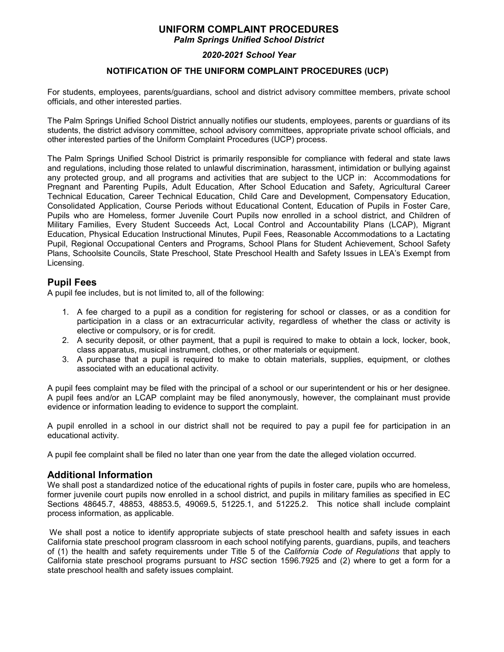# **UNIFORM COMPLAINT PROCEDURES**

*Palm Springs Unified School District*

#### *2020-2021 School Year*

#### **NOTIFICATION OF THE UNIFORM COMPLAINT PROCEDURES (UCP)**

For students, employees, parents/guardians, school and district advisory committee members, private school officials, and other interested parties.

The Palm Springs Unified School District annually notifies our students, employees, parents or guardians of its students, the district advisory committee, school advisory committees, appropriate private school officials, and other interested parties of the Uniform Complaint Procedures (UCP) process.

The Palm Springs Unified School District is primarily responsible for compliance with federal and state laws and regulations, including those related to unlawful discrimination, harassment, intimidation or bullying against any protected group, and all programs and activities that are subject to the UCP in: Accommodations for Pregnant and Parenting Pupils, Adult Education, After School Education and Safety, Agricultural Career Technical Education, Career Technical Education, Child Care and Development, Compensatory Education, Consolidated Application, Course Periods without Educational Content, Education of Pupils in Foster Care, Pupils who are Homeless, former Juvenile Court Pupils now enrolled in a school district, and Children of Military Families, Every Student Succeeds Act, Local Control and Accountability Plans (LCAP), Migrant Education, Physical Education Instructional Minutes, Pupil Fees, Reasonable Accommodations to a Lactating Pupil, Regional Occupational Centers and Programs, School Plans for Student Achievement, School Safety Plans, Schoolsite Councils, State Preschool, State Preschool Health and Safety Issues in LEA's Exempt from Licensing.

## **Pupil Fees**

A pupil fee includes, but is not limited to, all of the following:

- 1. A fee charged to a pupil as a condition for registering for school or classes, or as a condition for participation in a class or an extracurricular activity, regardless of whether the class or activity is elective or compulsory, or is for credit.
- 2. A security deposit, or other payment, that a pupil is required to make to obtain a lock, locker, book, class apparatus, musical instrument, clothes, or other materials or equipment.
- 3. A purchase that a pupil is required to make to obtain materials, supplies, equipment, or clothes associated with an educational activity.

A pupil fees complaint may be filed with the principal of a school or our superintendent or his or her designee. A pupil fees and/or an LCAP complaint may be filed anonymously, however, the complainant must provide evidence or information leading to evidence to support the complaint.

A pupil enrolled in a school in our district shall not be required to pay a pupil fee for participation in an educational activity.

A pupil fee complaint shall be filed no later than one year from the date the alleged violation occurred.

#### **Additional Information**

We shall post a standardized notice of the educational rights of pupils in foster care, pupils who are homeless, former juvenile court pupils now enrolled in a school district, and pupils in military families as specified in EC Sections 48645.7, 48853, 48853.5, 49069.5, 51225.1, and 51225.2. This notice shall include complaint process information, as applicable.

We shall post a notice to identify appropriate subjects of state preschool health and safety issues in each California state preschool program classroom in each school notifying parents, guardians, pupils, and teachers of (1) the health and safety requirements under Title 5 of the *California Code of Regulations* that apply to California state preschool programs pursuant to *HSC* section 1596.7925 and (2) where to get a form for a state preschool health and safety issues complaint.